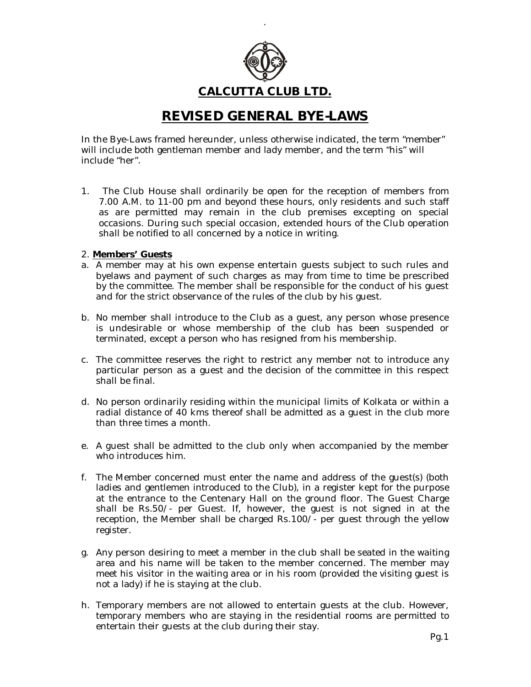

.

# **CALCUTTA CLUB LTD.**

# *REVISED GENERAL BYE-LAWS*

In the Bye-Laws framed hereunder, unless otherwise indicated, the term "member" will include both gentleman member and lady member, and the term "his" will include "her".

1. The Club House shall ordinarily be open for the reception of members from 7.00 A.M. to 11-00 pm and beyond these hours, only residents and such staff as are permitted may remain in the club premises excepting on special occasions. During such special occasion, extended hours of the Club operation shall be notified to all concerned by a notice in writing.

# 2. **Members' Guests**

- a. A member may at his own expense entertain guests subject to such rules and byelaws and payment of such charges as may from time to time be prescribed by the committee. The member shall be responsible for the conduct of his guest and for the strict observance of the rules of the club by his guest.
- b. No member shall introduce to the Club as a guest, any person whose presence is undesirable or whose membership of the club has been suspended or terminated, except a person who has resigned from his membership.
- c. The committee reserves the right to restrict any member not to introduce any particular person as a guest and the decision of the committee in this respect shall be final.
- d. No person ordinarily residing within the municipal limits of Kolkata or within a radial distance of 40 kms thereof shall be admitted as a guest in the club more than three times a month.
- e. A guest shall be admitted to the club only when accompanied by the member who introduces him.
- f. The Member concerned must enter the name and address of the guest(s) (both ladies and gentlemen introduced to the Club), in a register kept for the purpose at the entrance to the Centenary Hall on the ground floor. The Guest Charge shall be Rs.50/- per Guest. If, however, the guest is not signed in at the reception, the Member shall be charged Rs.100/- per guest through the yellow register.
- g. Any person desiring to meet a member in the club shall be seated in the waiting area and his name will be taken to the member concerned. The member may meet his visitor in the waiting area or in his room (provided the visiting guest is not a lady) if he is staying at the club.
- h. Temporary members are not allowed to entertain guests at the club. However, temporary members who are staying in the residential rooms are permitted to entertain their guests at the club during their stay.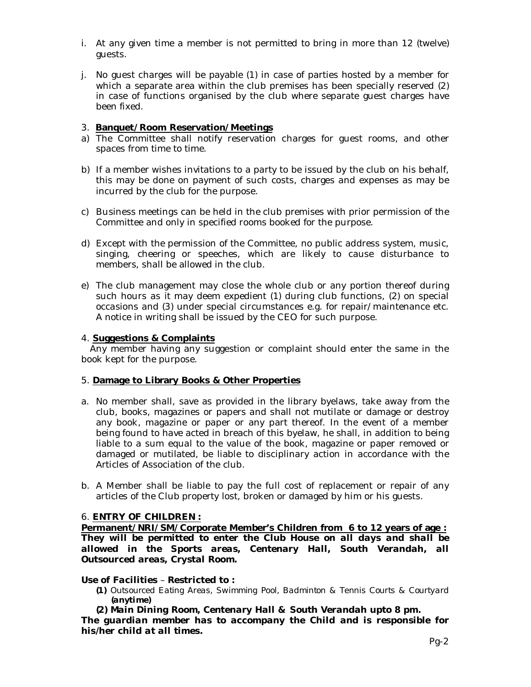- i. At any given time a member is not permitted to bring in more than 12 (twelve) guests.
- j. No guest charges will be payable (1) in case of parties hosted by a member for which a separate area within the club premises has been specially reserved (2) in case of functions organised by the club where separate guest charges have been fixed.

# 3. **Banquet/Room Reservation/Meetings**

- a) The Committee shall notify reservation charges for guest rooms, and other spaces from time to time.
- b) If a member wishes invitations to a party to be issued by the club on his behalf, this may be done on payment of such costs, charges and expenses as may be incurred by the club for the purpose.
- c) Business meetings can be held in the club premises with prior permission of the Committee and only in specified rooms booked for the purpose.
- d) Except with the permission of the Committee, no public address system, music, singing, cheering or speeches, which are likely to cause disturbance to members, shall be allowed in the club.
- e) The club management may close the whole club or any portion thereof during such hours as it may deem expedient (1) during club functions, (2) on special occasions and (3) under special circumstances e.g. for repair/maintenance etc. A notice in writing shall be issued by the CEO for such purpose.

# 4. **Suggestions & Complaints**

 Any member having any suggestion or complaint should enter the same in the book kept for the purpose.

#### 5. **Damage to Library Books & Other Properties**

- a. No member shall, save as provided in the library byelaws, take away from the club, books, magazines or papers and shall not mutilate or damage or destroy any book, magazine or paper or any part thereof. In the event of a member being found to have acted in breach of this byelaw, he shall, in addition to being liable to a sum equal to the value of the book, magazine or paper removed or damaged or mutilated, be liable to disciplinary action in accordance with the Articles of Association of the club.
- b. A Member shall be liable to pay the full cost of replacement or repair of any articles of the Club property lost, broken or damaged by him or his guests.

# 6. **ENTRY OF CHILDREN :**

**Permanent/NRI/SM/Corporate Member's Children from 6 to 12 years of age :** *They will be permitted to enter the Club House on all days and shall be allowed in the Sports areas, Centenary Hall, South Verandah, all Outsourced areas, Crystal Room.*

#### *Use of Facilities – Restricted to :*

- *(1) Outsourced Eating Areas, Swimming Pool, Badminton & Tennis Courts & Courtyard (anytime)*
- *(2) Main Dining Room, Centenary Hall & South Verandah upto 8 pm.*

*The guardian member has to accompany the Child and is responsible for his/her child at all times.*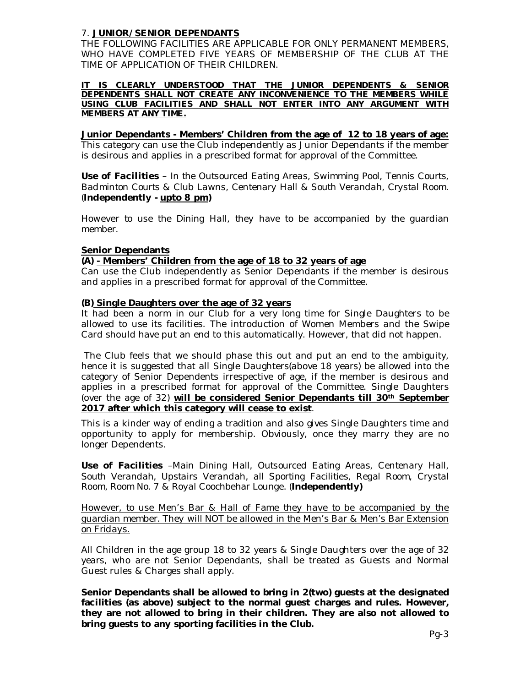# 7. **JUNIOR/SENIOR DEPENDANTS**

*THE FOLLOWING FACILITIES ARE APPLICABLE FOR ONLY PERMANENT MEMBERS, WHO HAVE COMPLETED FIVE YEARS OF MEMBERSHIP OF THE CLUB AT THE TIME OF APPLICATION OF THEIR CHILDREN.*

*IT IS CLEARLY UNDERSTOOD THAT THE JUNIOR DEPENDENTS & SENIOR DEPENDENTS SHALL NOT CREATE ANY INCONVENIENCE TO THE MEMBERS WHILE USING CLUB FACILITIES AND SHALL NOT ENTER INTO ANY ARGUMENT WITH MEMBERS AT ANY TIME.*

**Junior Dependants - Members' Children from the age of 12 to 18 years of age:**  This category can use the Club independently as Junior Dependants if the member is desirous and applies in a prescribed format for approval of the Committee.

*Use of Facilities – In the Outsourced Eating Areas, Swimming Pool, Tennis Courts, Badminton Courts & Club Lawns, Centenary Hall & South Verandah, Crystal Room. (Independently - upto 8 pm)*

*However to use the Dining Hall, they have to be accompanied by the guardian member.*

# **Senior Dependants**

# **(A) - Members' Children from the age of 18 to 32 years of age**

Can use the Club independently as Senior Dependants if the member is desirous and applies in a prescribed format for approval of the Committee.

# **(B) Single Daughters over the age of 32 years**

It had been a norm in our Club for a very long time for Single Daughters to be allowed to use its facilities. The introduction of Women Members and the Swipe Card should have put an end to this automatically. However, that did not happen.

The Club feels that we should phase this out and put an end to the ambiguity, hence it is suggested that all Single Daughters(above 18 years) be allowed into the category of Senior Dependents irrespective of age, if the member is desirous and applies in a prescribed format for approval of the Committee. Single Daughters (over the age of 32) **will be considered Senior Dependants till 30th September 2017 after which this category will cease to exist**.

This is a kinder way of ending a tradition and also gives Single Daughters time and opportunity to apply for membership. Obviously, once they marry they are no longer Dependents.

*Use of Facilities –Main Dining Hall, Outsourced Eating Areas, Centenary Hall, South Verandah, Upstairs Verandah, all Sporting Facilities, Regal Room, Crystal Room, Room No. 7 & Royal Coochbehar Lounge. (Independently)*

*However, to use Men's Bar & Hall of Fame they have to be accompanied by the guardian member. They will NOT be allowed in the Men's Bar & Men's Bar Extension on Fridays.*

All Children in the age group 18 to 32 years & Single Daughters over the age of 32 years, who are not Senior Dependants, shall be treated as Guests and Normal Guest rules & Charges shall apply.

**Senior Dependants shall be allowed to bring in 2(two) guests at the designated facilities (as above) subject to the normal guest charges and rules. However, they are not allowed to bring in their children. They are also not allowed to bring guests to any sporting facilities in the Club.**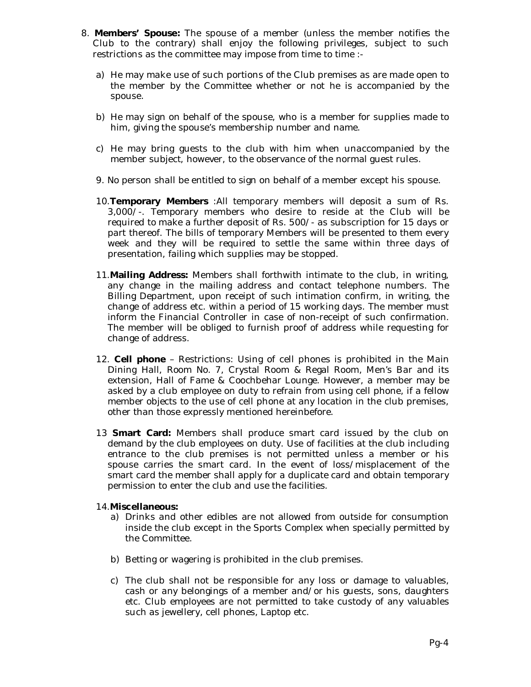- 8. **Members' Spouse:** The spouse of a member (unless the member notifies the Club to the contrary) shall enjoy the following privileges, subject to such restrictions as the committee may impose from time to time :
	- a) He may make use of such portions of the Club premises as are made open to the member by the Committee whether or not he is accompanied by the spouse.
	- b) He may sign on behalf of the spouse, who is a member for supplies made to him, giving the spouse's membership number and name.
	- c) He may bring guests to the club with him when unaccompanied by the member subject, however, to the observance of the normal guest rules.
	- 9. No person shall be entitled to sign on behalf of a member except his spouse.
	- 10.**Temporary Members** :All temporary members will deposit a sum of Rs. 3,000/-. Temporary members who desire to reside at the Club will be required to make a further deposit of Rs. 500/- as subscription for 15 days or part thereof. The bills of temporary Members will be presented to them every week and they will be required to settle the same within three days of presentation, failing which supplies may be stopped.
	- 11.**Mailing Address:** Members shall forthwith intimate to the club, in writing, any change in the mailing address and contact telephone numbers. The Billing Department, upon receipt of such intimation confirm, in writing, the change of address etc. within a period of 15 working days. The member must inform the Financial Controller in case of non-receipt of such confirmation. The member will be obliged to furnish proof of address while requesting for change of address.
	- 12. **Cell phone** Restrictions: Using of cell phones is prohibited in the Main Dining Hall, Room No. 7, Crystal Room & Regal Room, Men's Bar and its extension, Hall of Fame & Coochbehar Lounge. However, a member may be asked by a club employee on duty to refrain from using cell phone, if a fellow member objects to the use of cell phone at any location in the club premises, other than those expressly mentioned hereinbefore.
	- 13 **Smart Card:** Members shall produce smart card issued by the club on demand by the club employees on duty. Use of facilities at the club including entrance to the club premises is not permitted unless a member or his spouse carries the smart card. In the event of loss/misplacement of the smart card the member shall apply for a duplicate card and obtain temporary permission to enter the club and use the facilities.

# 14.**Miscellaneous:**

- a) Drinks and other edibles are not allowed from outside for consumption inside the club except in the Sports Complex when specially permitted by the Committee.
- b) Betting or wagering is prohibited in the club premises.
- c) The club shall not be responsible for any loss or damage to valuables, cash or any belongings of a member and/or his guests, sons, daughters etc. Club employees are not permitted to take custody of any valuables such as jewellery, cell phones, Laptop etc.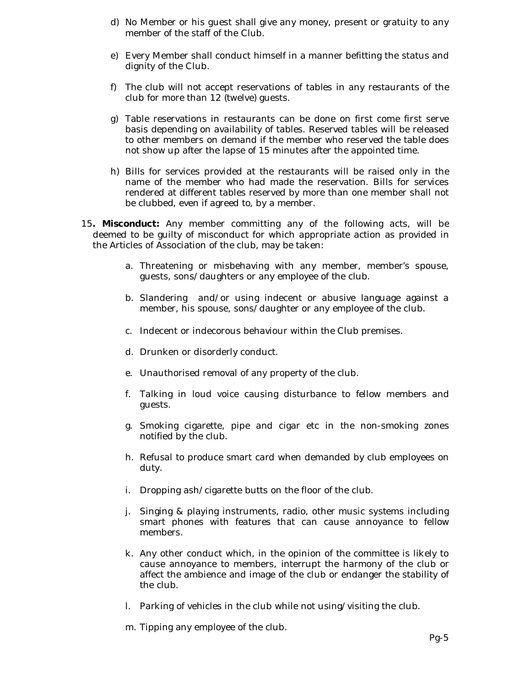- d) No Member or his guest shall give any money, present or gratuity to any member of the staff of the Club.
- e) Every Member shall conduct himself in a manner befitting the status and dignity of the Club.
- f) The club will not accept reservations of tables in any restaurants of the club for more than 12 (twelve) guests.
- g) Table reservations in restaurants can be done on first come first serve basis depending on availability of tables. Reserved tables will be released to other members on demand if the member who reserved the table does not show up after the lapse of 15 minutes after the appointed time.
- h) Bills for services provided at the restaurants will be raised only in the name of the member who had made the reservation. Bills for services rendered at different tables reserved by more than one member shall not be clubbed, even if agreed to, by a member.
- 15**. Misconduct:** Any member committing any of the following acts, will be deemed to be guilty of misconduct for which appropriate action as provided in the Articles of Association of the club, may be taken:
	- a. Threatening or misbehaving with any member, member's spouse, guests, sons/daughters or any employee of the club.
	- b. Slandering and/or using indecent or abusive language against a member, his spouse, sons/daughter or any employee of the club.
	- c. Indecent or indecorous behaviour within the Club premises.
	- d. Drunken or disorderly conduct.
	- e. Unauthorised removal of any property of the club.
	- f. Talking in loud voice causing disturbance to fellow members and guests.
	- g. Smoking cigarette, pipe and cigar etc in the non-smoking zones notified by the club.
	- h. Refusal to produce smart card when demanded by club employees on duty.
	- i. Dropping ash/cigarette butts on the floor of the club.
	- j. Singing & playing instruments, radio, other music systems including smart phones with features that can cause annoyance to fellow members.
	- k. Any other conduct which, in the opinion of the committee is likely to cause annoyance to members, interrupt the harmony of the club or affect the ambience and image of the club or endanger the stability of the club.
	- l. Parking of vehicles in the club while not using/visiting the club.
	- m. Tipping any employee of the club.